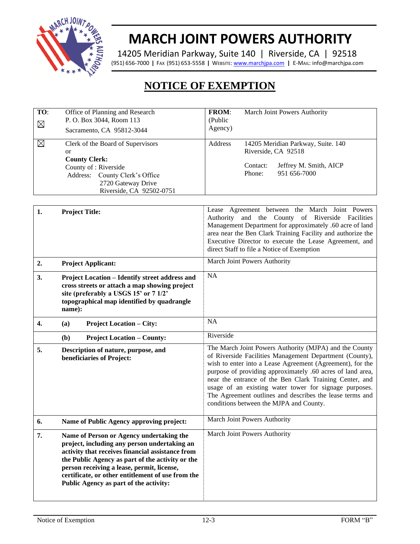

## **MARCH JOINT POWERS AUTHORITY**

14205 Meridian Parkway, Suite 140 | Riverside, CA | 92518 (951) 656-7000 **|** FAX (951) 653-5558 **|** WEBSITE[: www.marchjpa.com](http://www.marchjpa.com/) **|** E-MAIL: info@marchjpa.com

## **NOTICE OF EXEMPTION**

| TO:<br>$\boxtimes$                                              | Office of Planning and Research<br>P. O. Box 3044, Room 113<br>Sacramento, CA 95812-3044                              |         | March Joint Powers Authority |                                                                                                     |
|-----------------------------------------------------------------|-----------------------------------------------------------------------------------------------------------------------|---------|------------------------------|-----------------------------------------------------------------------------------------------------|
| ⊠<br><b>or</b><br><b>County Clerk:</b><br>County of : Riverside | Clerk of the Board of Supervisors<br>Address: County Clerk's Office<br>2720 Gateway Drive<br>Riverside, CA 92502-0751 | Address | Contact:<br>Phone:           | 14205 Meridian Parkway, Suite. 140<br>Riverside, CA 92518<br>Jeffrey M. Smith, AICP<br>951 656-7000 |

| 1.               | <b>Project Title:</b>                                                                                                                                                                                                                                                                                                                         | Lease Agreement between the March Joint Powers<br>Authority and the County of Riverside Facilities<br>Management Department for approximately .60 acre of land<br>area near the Ben Clark Training Facility and authorize the<br>Executive Director to execute the Lease Agreement, and<br>direct Staff to file a Notice of Exemption                                                                                                                                    |  |  |
|------------------|-----------------------------------------------------------------------------------------------------------------------------------------------------------------------------------------------------------------------------------------------------------------------------------------------------------------------------------------------|--------------------------------------------------------------------------------------------------------------------------------------------------------------------------------------------------------------------------------------------------------------------------------------------------------------------------------------------------------------------------------------------------------------------------------------------------------------------------|--|--|
| 2.               | <b>Project Applicant:</b>                                                                                                                                                                                                                                                                                                                     | March Joint Powers Authority                                                                                                                                                                                                                                                                                                                                                                                                                                             |  |  |
| 3.               | <b>Project Location – Identify street address and</b><br>cross streets or attach a map showing project<br>site (preferably a USGS 15' or 7 1/2'<br>topographical map identified by quadrangle<br>name):                                                                                                                                       | <b>NA</b>                                                                                                                                                                                                                                                                                                                                                                                                                                                                |  |  |
| $\overline{4}$ . | <b>Project Location – City:</b><br>(a)                                                                                                                                                                                                                                                                                                        | <b>NA</b>                                                                                                                                                                                                                                                                                                                                                                                                                                                                |  |  |
|                  | <b>Project Location – County:</b><br>(b)                                                                                                                                                                                                                                                                                                      | Riverside                                                                                                                                                                                                                                                                                                                                                                                                                                                                |  |  |
| 5.               | Description of nature, purpose, and<br>beneficiaries of Project:                                                                                                                                                                                                                                                                              | The March Joint Powers Authority (MJPA) and the County<br>of Riverside Facilities Management Department (County),<br>wish to enter into a Lease Agreement (Agreement), for the<br>purpose of providing approximately .60 acres of land area,<br>near the entrance of the Ben Clark Training Center, and<br>usage of an existing water tower for signage purposes.<br>The Agreement outlines and describes the lease terms and<br>conditions between the MJPA and County. |  |  |
| 6.               | Name of Public Agency approving project:                                                                                                                                                                                                                                                                                                      | March Joint Powers Authority                                                                                                                                                                                                                                                                                                                                                                                                                                             |  |  |
| 7.               | Name of Person or Agency undertaking the<br>project, including any person undertaking an<br>activity that receives financial assistance from<br>the Public Agency as part of the activity or the<br>person receiving a lease, permit, license,<br>certificate, or other entitlement of use from the<br>Public Agency as part of the activity: | March Joint Powers Authority                                                                                                                                                                                                                                                                                                                                                                                                                                             |  |  |